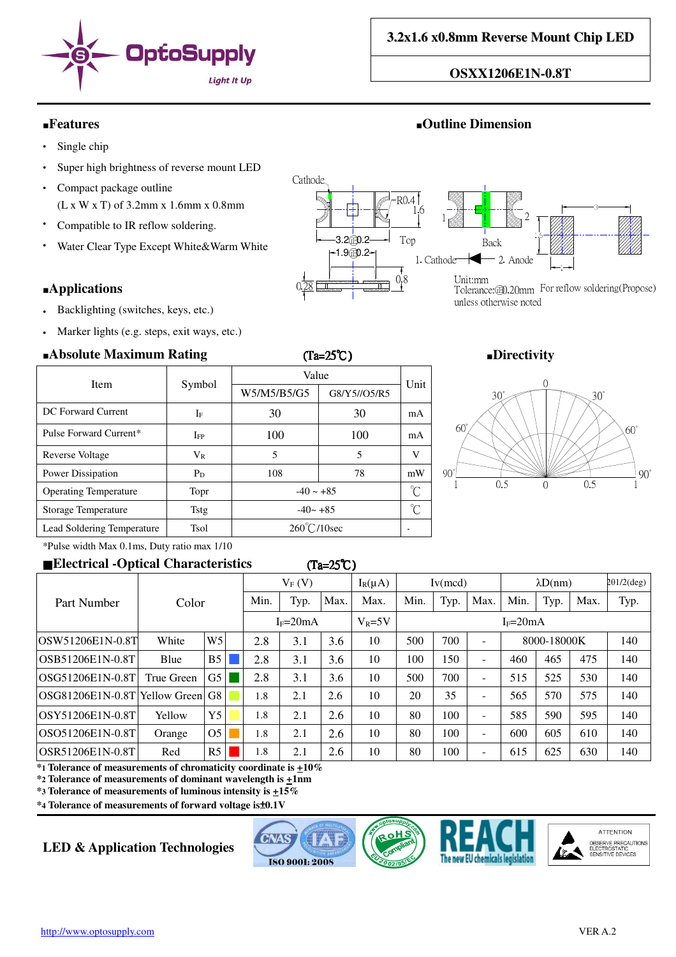

## **OSXX1206E1N-0.8T**

# ■**Features** ■**Outline Dimension**

- $\cdot$  Single chip
- Super high brightness of reverse mount LED
- Compact package outline (L x W x T) of 3.2mm x 1.6mm x 0.8mm
- Compatible to IR reflow soldering.
- Water Clear Type Except White&Warm White

### ■**Applications**

- Backlighting (switches, keys, etc.)
- Marker lights (e.g. steps, exit ways, etc.)

## ■**Absolute Maximum Rating** (Ta=25℃) ■**Directivity**

| $\blacksquare$               |             | \_~ <i>__</i> _ v     |              |    |  |  |  |  |
|------------------------------|-------------|-----------------------|--------------|----|--|--|--|--|
| Item                         |             | Value                 | Unit         |    |  |  |  |  |
|                              | Symbol      | W5/M5/B5/G5           | G8/Y5//O5/R5 |    |  |  |  |  |
| DC Forward Current           | $I_{\rm F}$ | 30                    | 30           | mA |  |  |  |  |
| Pulse Forward Current*       | IFP         | 100                   | 100          | mA |  |  |  |  |
| Reverse Voltage              | $V_{R}$     | 5                     | 5            | V  |  |  |  |  |
| Power Dissipation            | $P_D$       | 108                   | 78           | mW |  |  |  |  |
| <b>Operating Temperature</b> | Topr        | $-40 \sim +85$        |              |    |  |  |  |  |
| Storage Temperature          | Tstg        | $-40 - +85$           |              |    |  |  |  |  |
| Lead Soldering Temperature   | Tsol        | $260^{\circ}$ C/10sec |              |    |  |  |  |  |





\*Pulse width Max 0.1ms, Duty ratio max 1/10

### ■**Electrical -Optical Characteristics** (Ta=25℃ (Ta=25℃)

|                                      | Color      |                | $V_F(V)$ |            | $I_R(\mu A)$ | Iv(mcd) |      | $\lambda D(nm)$ |      | $2\theta$ 1/2(deg)       |             |      |      |     |
|--------------------------------------|------------|----------------|----------|------------|--------------|---------|------|-----------------|------|--------------------------|-------------|------|------|-----|
| Part Number                          |            |                | Min.     | Typ.       | Max.         | Max.    | Min. | Typ.            | Max. | Min.                     | Typ.        | Max. | Typ. |     |
|                                      |            | $I_F=20mA$     |          | $V_R = 5V$ | $I_F = 20mA$ |         |      |                 |      |                          |             |      |      |     |
| OSW51206E1N-0.8T                     | White      | W <sub>5</sub> |          | 2.8        | 3.1          | 3.6     | 10   | 500             | 700  | $\overline{\phantom{a}}$ | 8000-18000K |      |      | 140 |
| lOSB51206E1N-0.8T                    | Blue       | B <sub>5</sub> |          | 2.8        | 3.1          | 3.6     | 10   | 100             | 150  | $\overline{\phantom{a}}$ | 460         | 465  | 475  | 140 |
| lOSG51206E1N-0.8T                    | True Green | G5             |          | 2.8        | 3.1          | 3.6     | 10   | 500             | 700  | $\overline{\phantom{a}}$ | 515         | 525  | 530  | 140 |
| OSG81206E1N-0.8T   Yellow Green   G8 |            |                |          | 1.8        | 2.1          | 2.6     | 10   | 20              | 35   | $\overline{\phantom{m}}$ | 565         | 570  | 575  | 140 |
| OSY51206E1N-0.8T                     | Yellow     | Y <sub>5</sub> |          | 1.8        | 2.1          | 2.6     | 10   | 80              | 100  | $\overline{\phantom{a}}$ | 585         | 590  | 595  | 140 |
| OSO51206E1N-0.8T                     | Orange     | O <sub>5</sub> |          | 1.8        | 2.1          | 2.6     | 10   | 80              | 100  | $\overline{\phantom{a}}$ | 600         | 605  | 610  | 140 |
| IOSR51206E1N-0.8T                    | Red        | R5             |          | 1.8        | 2.1          | 2.6     | 10   | 80              | 100  | $\overline{\phantom{a}}$ | 615         | 625  | 630  | 140 |

**\*1 Tolerance of measurements of chromaticity coordinate is +10%**

**\*2 Tolerance of measurements of dominant wavelength is +1nm**

**\*3 Tolerance of measurements of luminous intensity is +15%**

**\*4 Tolerance of measurements of forward voltage is**±**0.1V**

# **LED & Application Technologies**